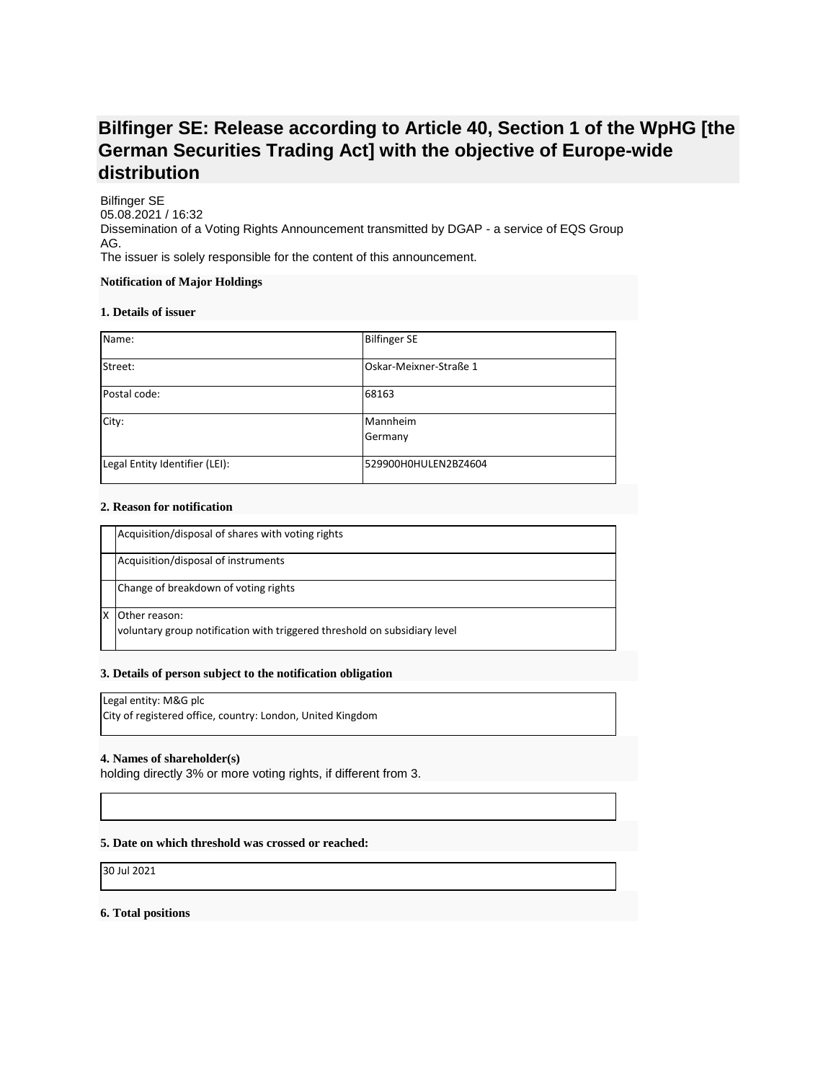# **Bilfinger SE: Release according to Article 40, Section 1 of the WpHG [the German Securities Trading Act] with the objective of Europe-wide distribution**

Bilfinger SE 05.08.2021 / 16:32 Dissemination of a Voting Rights Announcement transmitted by DGAP - a service of EQS Group AG. The issuer is solely responsible for the content of this announcement.

#### **Notification of Major Holdings**

#### **1. Details of issuer**

| Name:                          | <b>Bilfinger SE</b>    |
|--------------------------------|------------------------|
| Street:                        | Oskar-Meixner-Straße 1 |
| Postal code:                   | 68163                  |
| City:                          | Mannheim<br>Germany    |
| Legal Entity Identifier (LEI): | 529900H0HULEN2BZ4604   |

## **2. Reason for notification**

| Acquisition/disposal of shares with voting rights                                          |
|--------------------------------------------------------------------------------------------|
| Acquisition/disposal of instruments                                                        |
| Change of breakdown of voting rights                                                       |
| Other reason:<br>voluntary group notification with triggered threshold on subsidiary level |

## **3. Details of person subject to the notification obligation**

# Legal entity: M&G plc

City of registered office, country: London, United Kingdom

## **4. Names of shareholder(s)**

holding directly 3% or more voting rights, if different from 3.

## **5. Date on which threshold was crossed or reached:**

30 Jul 2021

#### **6. Total positions**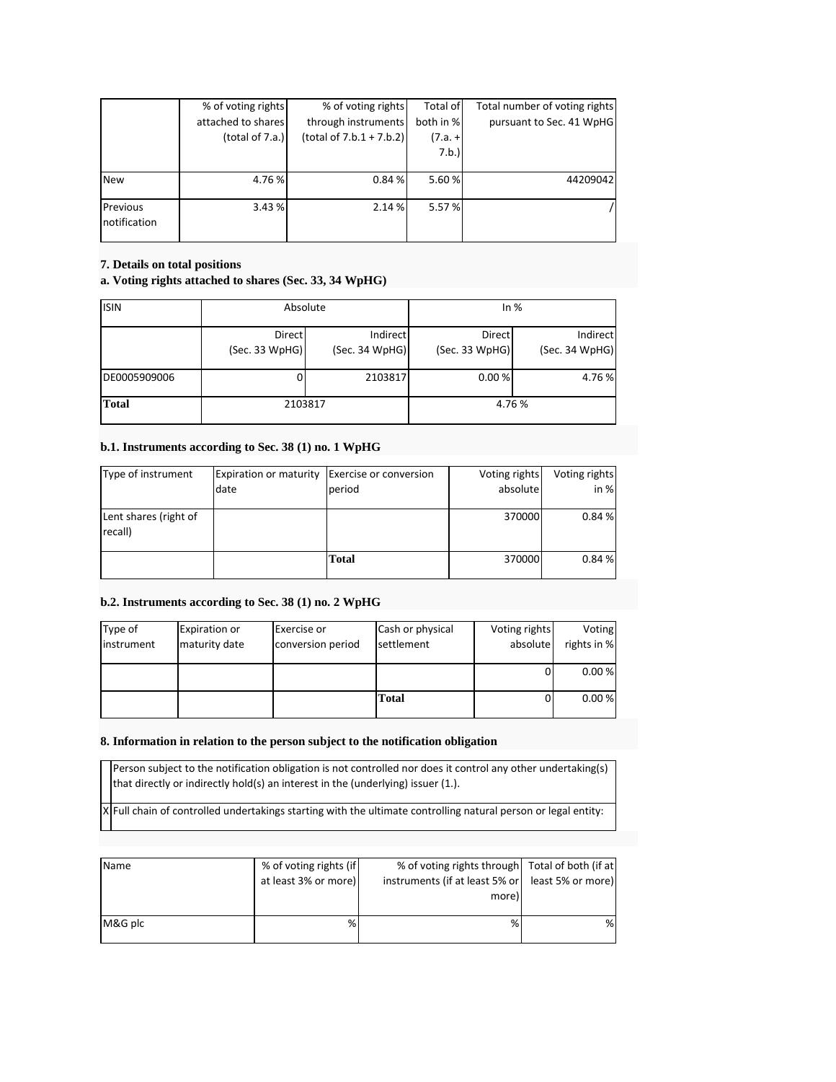|              | % of voting rights | % of voting rights          | Total of  | Total number of voting rights |
|--------------|--------------------|-----------------------------|-----------|-------------------------------|
|              | attached to shares | through instruments         | both in % | pursuant to Sec. 41 WpHG      |
|              | (total of $7.a.$ ) | (total of $7.b.1 + 7.b.2$ ) | (7.a. +   |                               |
|              |                    |                             | 7.b.      |                               |
|              |                    |                             |           |                               |
| <b>New</b>   | 4.76 %             | 0.84%                       | 5.60 %    | 44209042                      |
| Previous     | 3.43 %             | 2.14 %                      | 5.57 %    |                               |
| notification |                    |                             |           |                               |

## **7. Details on total positions**

# **a. Voting rights attached to shares (Sec. 33, 34 WpHG)**

| <b>ISIN</b>  | Absolute                 |                            | In $%$                   |                            |
|--------------|--------------------------|----------------------------|--------------------------|----------------------------|
|              | Direct<br>(Sec. 33 WpHG) | Indirect<br>(Sec. 34 WpHG) | Direct<br>(Sec. 33 WpHG) | Indirect<br>(Sec. 34 WpHG) |
| DE0005909006 |                          | 2103817                    | 0.00%                    | 4.76%                      |
| <b>Total</b> | 2103817                  |                            | 4.76 %                   |                            |

## **b.1. Instruments according to Sec. 38 (1) no. 1 WpHG**

| Type of instrument               | Expiration or maturity | Exercise or conversion | Voting rights | Voting rights |
|----------------------------------|------------------------|------------------------|---------------|---------------|
|                                  | date                   | period                 | absolute      | in %          |
| Lent shares (right of<br>recall) |                        |                        | 370000        | 0.84%         |
|                                  |                        | Total                  | 370000        | 0.84%         |

# **b.2. Instruments according to Sec. 38 (1) no. 2 WpHG**

| Type of    | <b>Expiration or</b> | Exercise or       | Cash or physical | Voting rights | Voting      |
|------------|----------------------|-------------------|------------------|---------------|-------------|
| instrument | maturity date        | conversion period | settlement       | absolute      | rights in % |
|            |                      |                   |                  |               |             |
|            |                      |                   |                  | 0             | 0.00%       |
|            |                      |                   |                  |               |             |
|            |                      |                   | Total            | 0             | 0.00%       |
|            |                      |                   |                  |               |             |

## **8. Information in relation to the person subject to the notification obligation**

Person subject to the notification obligation is not controlled nor does it control any other undertaking(s) that directly or indirectly hold(s) an interest in the (underlying) issuer (1.).

 $X$  Full chain of controlled undertakings starting with the ultimate controlling natural person or legal entity:

| Name    | % of voting rights (if<br>at least 3% or more) | % of voting rights through   Total of both (if at<br>instruments (if at least 5% or   least 5% or more)<br>more) |   |
|---------|------------------------------------------------|------------------------------------------------------------------------------------------------------------------|---|
| M&G plc | %                                              | %                                                                                                                | % |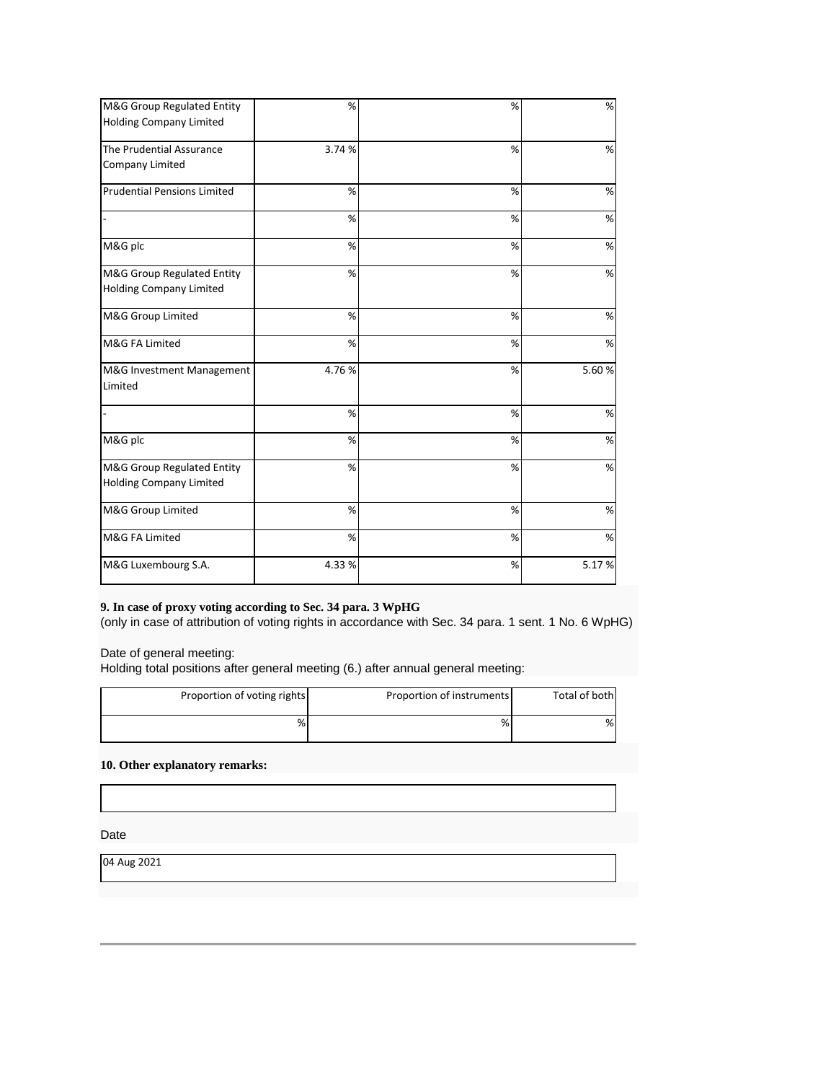| M&G Group Regulated Entity         | %      | %    | $\%$  |
|------------------------------------|--------|------|-------|
| Holding Company Limited            |        |      |       |
| The Prudential Assurance           | 3.74 % | %    | %     |
| Company Limited                    |        |      |       |
| <b>Prudential Pensions Limited</b> | %      | %    | %     |
|                                    | %      | %    | %     |
| M&G plc                            | %      | %    | %     |
| M&G Group Regulated Entity         | %      | %    | $\%$  |
| <b>Holding Company Limited</b>     |        |      |       |
| M&G Group Limited                  | %      | %    | %     |
| M&G FA Limited                     | %      | %    | %     |
| M&G Investment Management          | 4.76%  | %    | 5.60% |
| Limited                            |        |      |       |
|                                    | %      | %    | %     |
| M&G plc                            | %      | %    | %     |
| M&G Group Regulated Entity         | %      | %    | %     |
| <b>Holding Company Limited</b>     |        |      |       |
| M&G Group Limited                  | %      | %    | $\%$  |
| M&G FA Limited                     | %      | %    | %     |
| M&G Luxembourg S.A.                | 4.33%  | $\%$ | 5.17% |

# **9. In case of proxy voting according to Sec. 34 para. 3 WpHG**

(only in case of attribution of voting rights in accordance with Sec. 34 para. 1 sent. 1 No. 6 WpHG)

Date of general meeting:

Holding total positions after general meeting (6.) after annual general meeting:

| Total of both | Proportion of instruments | Proportion of voting rights |
|---------------|---------------------------|-----------------------------|
| %             | %                         | %                           |

# **10. Other explanatory remarks:**

Date

04 Aug 2021